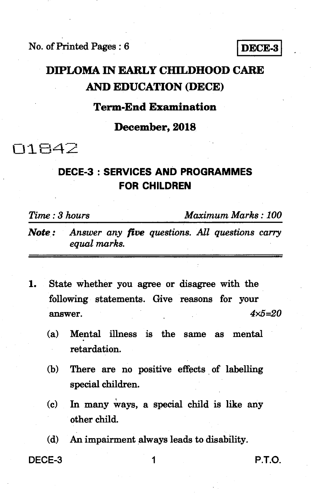No. of Printed Pages : 6 **IDECE-3** 

## **DIPLOMA IN EARLY CHILDHOOD CARE AND EDUCATION (DECE)**

### **Term-End Examination**

**December, 2018** 

**N1842** 

## **DECE-3 : SERVICES AND PROGRAMMES FOR CHILDREN**

*Time : 3 hours Maximum Marks : 100* 

- *Note : Answer any five questions. All questions carry equal marks.*
- *1.* **State whether you agree or disagree with the following statements. Give reasons for your answer.** *4x5=20* 
	- **(a) Mental illness is the same as mental retardation.**
	- **(b) There are no positive effects of labelling special children.**
	- **(c) In many Ways, a special child is like any other child.**

**(d) An impairment always leads to disability.** 

**DECE-3 1 P.T.O.**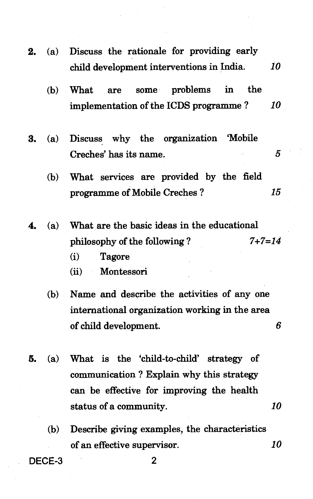- **2. (a) Discuss the rationale for providing early child development interventions in India.** *10*  **(b) What are some problems in the implementation of the ICDS programme ?** *10*  **3. (a) Discuss why the organization 'Mobile**   $\overline{5}$ **Creches' has its name. (b) What services are provided by the field programme of Mobile Creches ?** *15*  **4. (a) What are the basic ideas in the educational philosophy of the following ?** *7+7=14*  **(i) Tagore** 
	- **(ii) Montessori**
	- **(b) Name and describe the activities of any one international organization working in the area of child development.** *6*
- **5. (a) What is the 'child-to-child' strategy of communication ? Explain why this strategy can be effective for improving the health status of a community.** *10* 
	- **(b) Describe giving examples, the characteristics of an effective supervisor.** *10*

**DECE-3 2**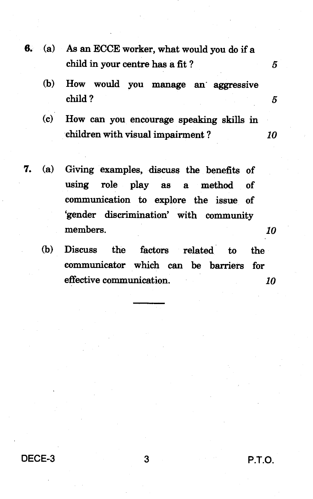- **6. (a) As an ECCE worker, what would you do if a child in your centre has a fit ?** 
	- **(b) How would you manage an aggressive child ?** *5*
	- **(c) How can you encourage speaking skills in children with visual impairment ?** *10*
- **7. (a) Giving examples, discuss the benefits of using role play as a method of communication to explore the issue of `gender discrimination' with community members.** *10* 
	- **(b) Discuss the factors related to the communicator which can be barriers for effective communication.** *10*

**DECE-3 3 P.T.O.** 

 $\mathbf{5}$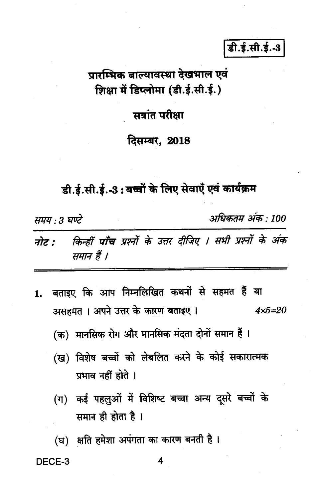## डी.ई.सी.ई.-3

# प्रारम्भिक बाल्यावस्था देखभाल एवं शिक्षा में डिप्लोमा (डी.ई.सी.ई.)

### सत्रांत परीक्षा

### दिसम्बर, 2018

डी.ई.सी.ई.-3 : बच्चों के लिए सेवाएँ एवं कार्यक्रम

समय : 3 घण्टे

अधिकतम् अंक : 100

#### किन्हीं पाँच प्रश्नों के उत्तर दीजिए । सभी प्रश्नों के अंक नोट : समान हैं ।

1. बताइए कि आप निम्नलिखित कथनों से सहमत हैं या असहमत। अपने उत्तर के कारण बताइए।  $4 \times 5 = 20$ 

(क) मानसिक रोग और मानसिक मंदता दोनों समान हैं ।

- (ख) विशेष बच्चों को लेबलित करने के कोई सकारात्मक प्रभाव नहीं होते ।
- (ग) कई पहलुओं में विशिष्ट बच्चा अन्य दूसरे बच्चों के समान ही होता है।

(घ) क्षति हमेशा अपंगता का कारण बनती है।

#### DECE-3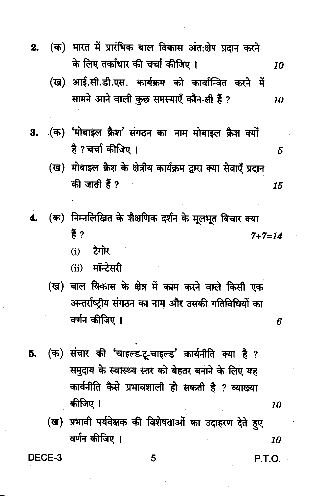- (क) भारत में प्रारंभिक बाल विकास अंत:क्षेप प्रदान करने  $2.$ के लिए तर्काधार की चर्चा कीजिए। 10
	- (ख) आई.सी.डी.एस. कार्यक्रम को कार्यान्वित करने में सामने आने वाली कुछ समस्याएँ कौन-सी हैं ? 10
- (क) 'मोबाइल क्रैश' संगठन का नाम मोबाइल क्रैश क्यों 3. है ?चर्चा कीजिए ।
	- (ख) मोबाइल क्रैश के क्षेत्रीय कार्यक्रम द्वारा क्या सेवाएँ प्रदान की जाती हैं ? 15
- (क) निम्नलिखित के शैक्षणिक दर्शन के मूलभूत विचार क्या 4. 普?  $7 + 7 = 14$ 
	- $(i)$ टैगोर
	- $(ii)$  मॉन्टेसरी
	- (ख) बाल विकास के क्षेत्र में काम करने वाले किसी एक अन्तर्राष्ट्रीय संगठन का नाम और उसकी गतिविधियों का वर्णन कीजिए ।
- (क) संचार की 'चाइल्ड-टू-चाइल्ड' कार्यनीति क्या है ? 5. समुदाय के स्वास्थ्य स्तर को बेहतर बनाने के लिए यह कार्यनीति कैसे प्रभावशाली हो सकती है ? व्याख्या कीजिए ।
	- (ख) प्रभावी पर्यवेक्षक की विशेषताओं का उदाहरण देते हुए वर्णन कीजिए । 10

DECE-3

5

P.T.O.

10

5

6